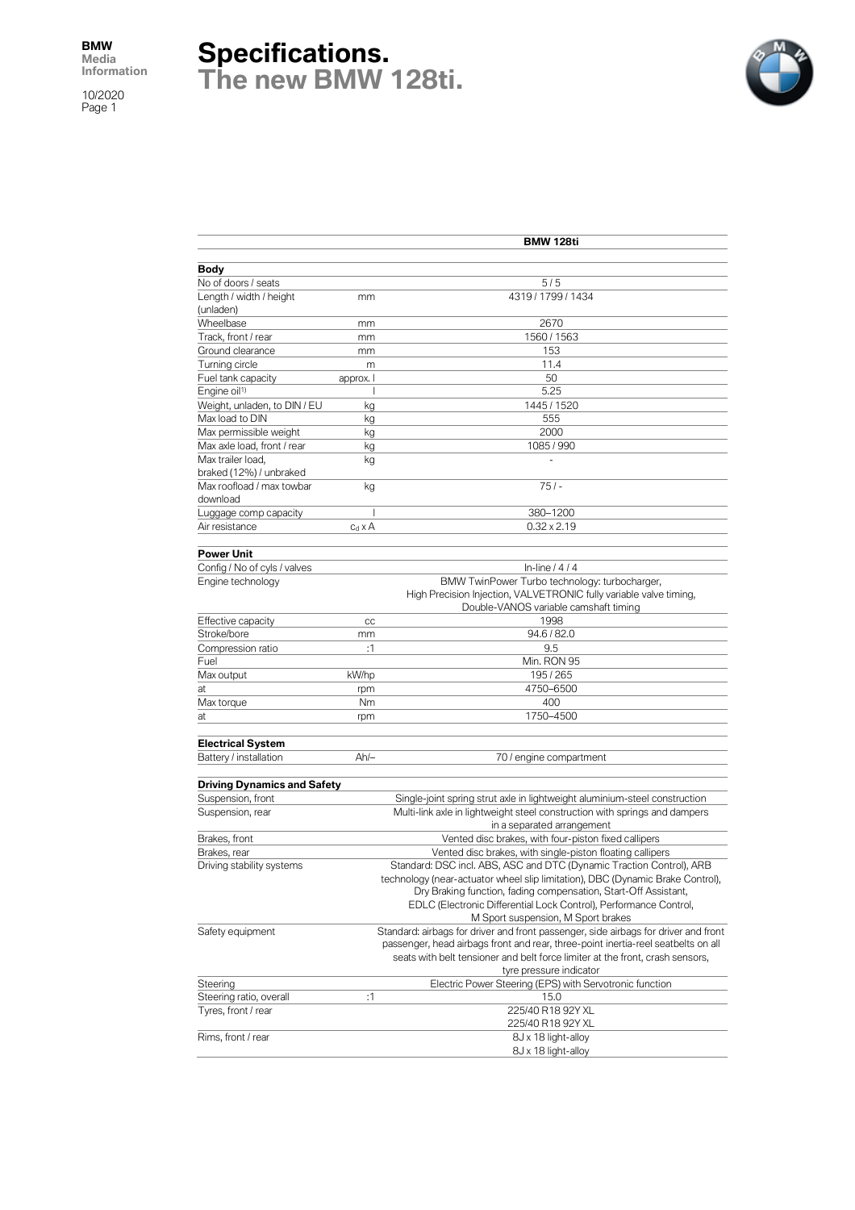10/2020 Page 1

## **Specifications. The new BMW 128ti.**



|                                                  | <b>BMW 128ti</b> |                                                                                     |  |  |  |
|--------------------------------------------------|------------------|-------------------------------------------------------------------------------------|--|--|--|
|                                                  |                  |                                                                                     |  |  |  |
| Body                                             |                  |                                                                                     |  |  |  |
| No of doors / seats                              |                  | 5/5<br>4319 / 1799 / 1434                                                           |  |  |  |
| Length / width / height<br>(unladen)             | mm               |                                                                                     |  |  |  |
| Wheelbase                                        | mm               | 2670                                                                                |  |  |  |
| Track, front / rear                              | mm               | 1560 / 1563                                                                         |  |  |  |
| Ground clearance                                 |                  | 153                                                                                 |  |  |  |
| Turning circle                                   | mm<br>m          | 11.4                                                                                |  |  |  |
| Fuel tank capacity                               | approx. I        | 50                                                                                  |  |  |  |
| Engine oil <sup>1)</sup>                         |                  | 5.25                                                                                |  |  |  |
| Weight, unladen, to DIN / EU                     | kg               | 1445 / 1520                                                                         |  |  |  |
| Max load to DIN                                  | kg               | 555                                                                                 |  |  |  |
| Max permissible weight                           | kg               | 2000                                                                                |  |  |  |
| Max axle load, front / rear                      | kg               | 1085 / 990                                                                          |  |  |  |
| Max trailer load,                                | kg               |                                                                                     |  |  |  |
| braked (12%) / unbraked                          |                  |                                                                                     |  |  |  |
| Max roofload / max towbar                        | kg               | $751 -$                                                                             |  |  |  |
| download                                         |                  |                                                                                     |  |  |  |
| Luggage comp capacity                            | I                | 380-1200                                                                            |  |  |  |
| Air resistance                                   | $c_d \times A$   | $0.32 \times 2.19$                                                                  |  |  |  |
|                                                  |                  |                                                                                     |  |  |  |
| Power Unit                                       |                  |                                                                                     |  |  |  |
| Config / No of cyls / valves                     |                  | In-line $/4/4$                                                                      |  |  |  |
| Engine technology                                |                  | BMW TwinPower Turbo technology: turbocharger,                                       |  |  |  |
|                                                  |                  | High Precision Injection, VALVETRONIC fully variable valve timing,                  |  |  |  |
|                                                  |                  | Double-VANOS variable camshaft timing                                               |  |  |  |
| Effective capacity                               | CC               | 1998                                                                                |  |  |  |
| Stroke/bore                                      | mm               | 94.6 / 82.0                                                                         |  |  |  |
| Compression ratio                                | :1               | 9.5                                                                                 |  |  |  |
| Fuel                                             |                  | Min. RON 95                                                                         |  |  |  |
| Max output                                       | kW/hp            | 195/265                                                                             |  |  |  |
| at                                               | rpm              | 4750-6500                                                                           |  |  |  |
| Max torque                                       | Nm               | 400                                                                                 |  |  |  |
| at                                               | rpm              | 1750-4500                                                                           |  |  |  |
| <b>Electrical System</b>                         |                  |                                                                                     |  |  |  |
| Battery / installation                           | $Ah/-$           | 70 / engine compartment                                                             |  |  |  |
|                                                  |                  |                                                                                     |  |  |  |
| Driving Dynamics and Safety<br>Suspension, front |                  | Single-joint spring strut axle in lightweight aluminium-steel construction          |  |  |  |
| Suspension, rear                                 |                  | Multi-link axle in lightweight steel construction with springs and dampers          |  |  |  |
|                                                  |                  | in a separated arrangement                                                          |  |  |  |
| Brakes, front                                    |                  | Vented disc brakes, with four-piston fixed callipers                                |  |  |  |
| Brakes, rear                                     |                  | Vented disc brakes, with single-piston floating callipers                           |  |  |  |
| Driving stability systems                        |                  | Standard: DSC incl. ABS, ASC and DTC (Dynamic Traction Control), ARB                |  |  |  |
|                                                  |                  | technology (near-actuator wheel slip limitation), DBC (Dynamic Brake Control),      |  |  |  |
|                                                  |                  | Dry Braking function, fading compensation, Start-Off Assistant,                     |  |  |  |
|                                                  |                  | EDLC (Electronic Differential Lock Control), Performance Control,                   |  |  |  |
|                                                  |                  | M Sport suspension, M Sport brakes                                                  |  |  |  |
| Safety equipment                                 |                  | Standard: airbags for driver and front passenger, side airbags for driver and front |  |  |  |
|                                                  |                  | passenger, head airbags front and rear, three-point inertia-reel seatbelts on all   |  |  |  |
|                                                  |                  | seats with belt tensioner and belt force limiter at the front, crash sensors,       |  |  |  |
|                                                  |                  | tyre pressure indicator                                                             |  |  |  |
| Steering                                         |                  | Electric Power Steering (EPS) with Servotronic function                             |  |  |  |
| Steering ratio, overall                          | :1               | 15.0                                                                                |  |  |  |
| Tyres, front / rear                              |                  | 225/40 R18 92Y XL<br>225/40 R18 92Y XL                                              |  |  |  |
| Rims, front / rear                               |                  | 8J x 18 light-alloy                                                                 |  |  |  |
|                                                  |                  | 8J x 18 light-alloy                                                                 |  |  |  |